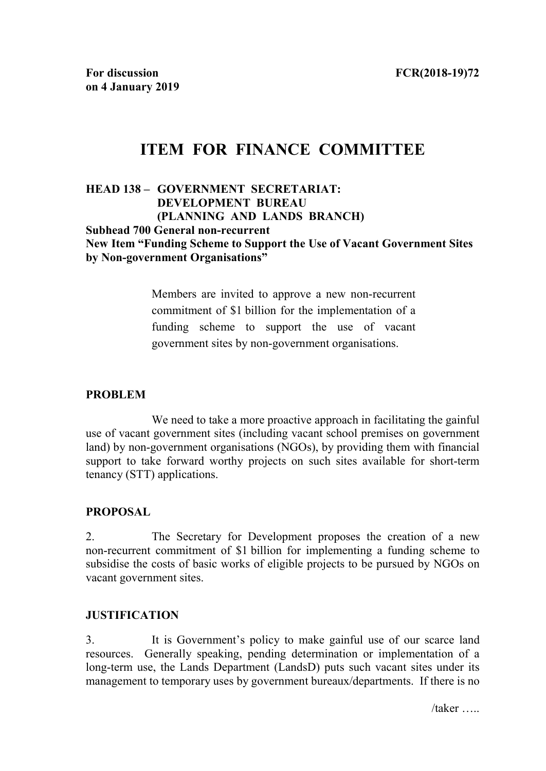# **ITEM FOR FINANCE COMMITTEE**

#### **HEAD 138 – GOVERNMENT SECRETARIAT: DEVELOPMENT BUREAU (PLANNING AND LANDS BRANCH) Subhead 700 General non-recurrent New Item "Funding Scheme to Support the Use of Vacant Government Sites by Non-government Organisations"**

Members are invited to approve a new non-recurrent commitment of \$1 billion for the implementation of a funding scheme to support the use of vacant government sites by non-government organisations.

## **PROBLEM**

We need to take a more proactive approach in facilitating the gainful use of vacant government sites (including vacant school premises on government land) by non-government organisations (NGOs), by providing them with financial support to take forward worthy projects on such sites available for short-term tenancy (STT) applications.

## **PROPOSAL**

2. The Secretary for Development proposes the creation of a new non-recurrent commitment of \$1 billion for implementing a funding scheme to subsidise the costs of basic works of eligible projects to be pursued by NGOs on vacant government sites.

#### **JUSTIFICATION**

3. It is Government's policy to make gainful use of our scarce land resources. Generally speaking, pending determination or implementation of a long-term use, the Lands Department (LandsD) puts such vacant sites under its management to temporary uses by government bureaux/departments. If there is no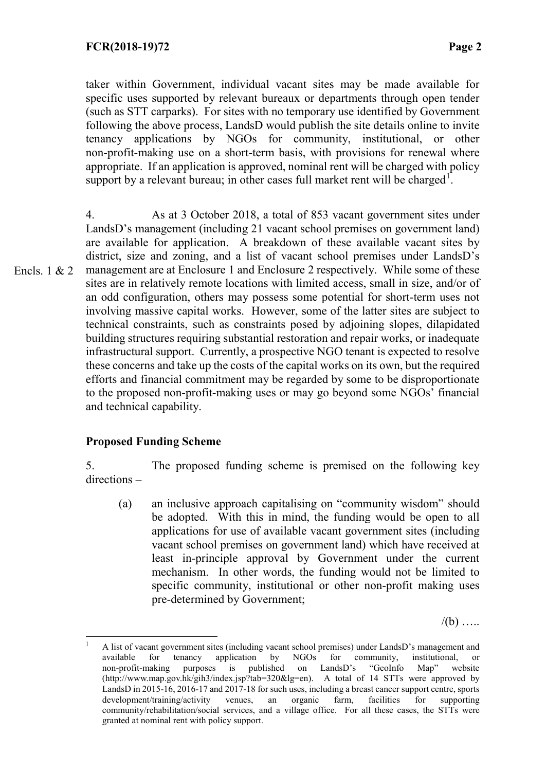taker within Government, individual vacant sites may be made available for specific uses supported by relevant bureaux or departments through open tender (such as STT carparks). For sites with no temporary use identified by Government following the above process, LandsD would publish the site details online to invite tenancy applications by NGOs for community, institutional, or other non-profit-making use on a short-term basis, with provisions for renewal where appropriate. If an application is approved, nominal rent will be charged with policy support by a relevant bureau; in other cases full market rent will be charged<sup>[1](#page-1-0)</sup>.

4. As at 3 October 2018, a total of 853 vacant government sites under LandsD's management (including 21 vacant school premises on government land) are available for application. A breakdown of these available vacant sites by district, size and zoning, and a list of vacant school premises under LandsD's management are at Enclosure 1 and Enclosure 2 respectively. While some of these sites are in relatively remote locations with limited access, small in size, and/or of an odd configuration, others may possess some potential for short-term uses not involving massive capital works. However, some of the latter sites are subject to technical constraints, such as constraints posed by adjoining slopes, dilapidated building structures requiring substantial restoration and repair works, or inadequate infrastructural support. Currently, a prospective NGO tenant is expected to resolve these concerns and take up the costs of the capital works on its own, but the required efforts and financial commitment may be regarded by some to be disproportionate to the proposed non-profit-making uses or may go beyond some NGOs' financial and technical capability. Encls.  $1 & 2$ 

## **Proposed Funding Scheme**

5. The proposed funding scheme is premised on the following key directions –

(a) an inclusive approach capitalising on "community wisdom" should be adopted. With this in mind, the funding would be open to all applications for use of available vacant government sites (including vacant school premises on government land) which have received at least in-principle approval by Government under the current mechanism. In other words, the funding would not be limited to specific community, institutional or other non-profit making uses pre-determined by Government;

 $/(b)$  .....

<span id="page-1-0"></span><sup>&</sup>lt;sup>1</sup> A list of vacant government sites (including vacant school premises) under LandsD's management and available for tenancy application by NGOs for community, institutional, or non-profit-making purposes is published on LandsD's "GeoInfo Map" website [\(http://www.map.gov.hk/gih3/index.jsp?tab=320&lg=en\)](http://www.map.gov.hk/gih3/index.jsp?tab=320&lg=en). A total of 14 STTs were approved by LandsD in 2015-16, 2016-17 and 2017-18 for such uses, including a breast cancer support centre, sports development/training/activity venues, an organic farm, facilities for supporting community/rehabilitation/social services, and a village office. For all these cases, the STTs were granted at nominal rent with policy support.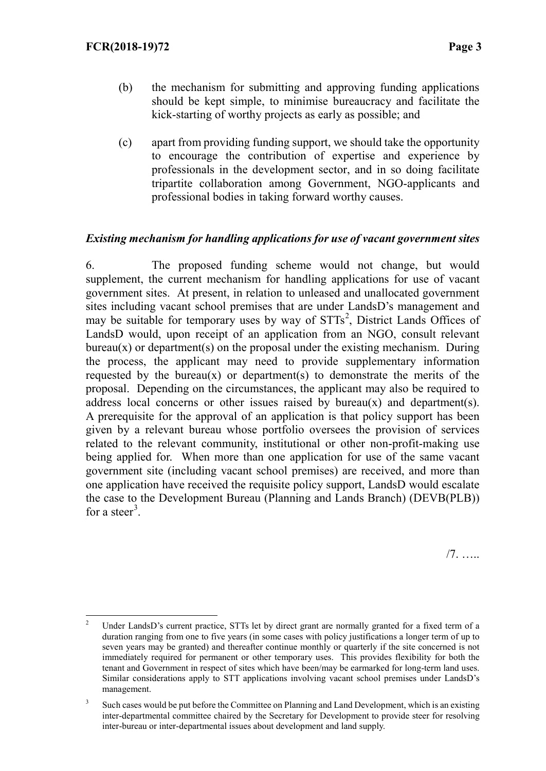- (b) the mechanism for submitting and approving funding applications should be kept simple, to minimise bureaucracy and facilitate the kick-starting of worthy projects as early as possible; and
- (c) apart from providing funding support, we should take the opportunity to encourage the contribution of expertise and experience by professionals in the development sector, and in so doing facilitate tripartite collaboration among Government, NGO-applicants and professional bodies in taking forward worthy causes.

### *Existing mechanism for handling applications for use of vacant government sites*

6. The proposed funding scheme would not change, but would supplement, the current mechanism for handling applications for use of vacant government sites. At present, in relation to unleased and unallocated government sites including vacant school premises that are under LandsD's management and may be suitable for temporary uses by way of STTs<sup>[2](#page-2-0)</sup>, District Lands Offices of LandsD would, upon receipt of an application from an NGO, consult relevant  $bureau(x)$  or department(s) on the proposal under the existing mechanism. During the process, the applicant may need to provide supplementary information requested by the bureau $(x)$  or department $(s)$  to demonstrate the merits of the proposal. Depending on the circumstances, the applicant may also be required to address local concerns or other issues raised by bureau(x) and department(s). A prerequisite for the approval of an application is that policy support has been given by a relevant bureau whose portfolio oversees the provision of services related to the relevant community, institutional or other non-profit-making use being applied for. When more than one application for use of the same vacant government site (including vacant school premises) are received, and more than one application have received the requisite policy support, LandsD would escalate the case to the Development Bureau (Planning and Lands Branch) (DEVB(PLB)) for a steer<sup>[3](#page-2-1)</sup>.

/7. …..

<span id="page-2-0"></span><sup>&</sup>lt;sup>2</sup> Under LandsD's current practice, STTs let by direct grant are normally granted for a fixed term of a duration ranging from one to five years (in some cases with policy justifications a longer term of up to seven years may be granted) and thereafter continue monthly or quarterly if the site concerned is not immediately required for permanent or other temporary uses. This provides flexibility for both the tenant and Government in respect of sites which have been/may be earmarked for long-term land uses. Similar considerations apply to STT applications involving vacant school premises under LandsD's management.

<span id="page-2-1"></span><sup>&</sup>lt;sup>3</sup> Such cases would be put before the Committee on Planning and Land Development, which is an existing inter-departmental committee chaired by the Secretary for Development to provide steer for resolving inter-bureau or inter-departmental issues about development and land supply.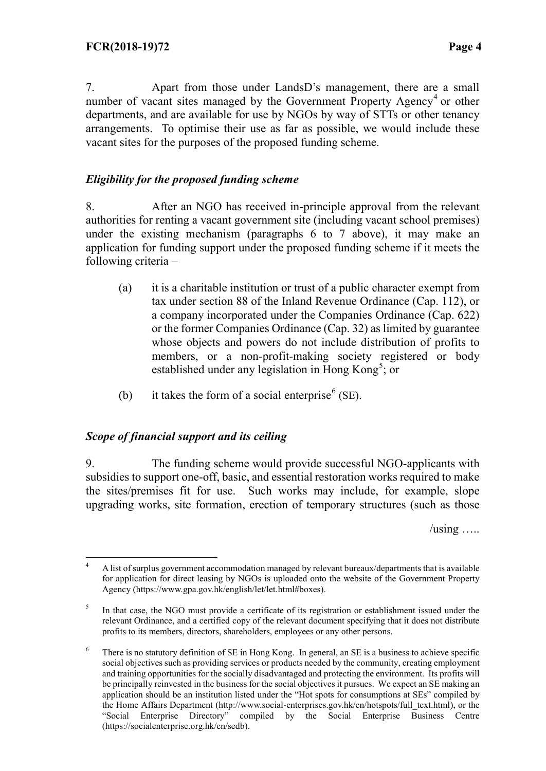7. Apart from those under LandsD's management, there are a small number of vacant sites managed by the Government Property Agency<sup>[4](#page-3-0)</sup> or other departments, and are available for use by NGOs by way of STTs or other tenancy arrangements. To optimise their use as far as possible, we would include these vacant sites for the purposes of the proposed funding scheme.

## *Eligibility for the proposed funding scheme*

8. After an NGO has received in-principle approval from the relevant authorities for renting a vacant government site (including vacant school premises) under the existing mechanism (paragraphs 6 to 7 above), it may make an application for funding support under the proposed funding scheme if it meets the following criteria –

- (a) it is a charitable institution or trust of a public character exempt from tax under section 88 of the Inland Revenue Ordinance (Cap. 112), or a company incorporated under the Companies Ordinance (Cap. 622) or the former Companies Ordinance (Cap. 32) as limited by guarantee whose objects and powers do not include distribution of profits to members, or a non-profit-making society registered or body established under any legislation in Hong Kong<sup>[5](#page-3-1)</sup>; or
- (b) it takes the form of a social enterprise<sup>[6](#page-3-2)</sup> (SE).

## *Scope of financial support and its ceiling*

9. The funding scheme would provide successful NGO-applicants with subsidies to support one-off, basic, and essential restoration works required to make the sites/premises fit for use. Such works may include, for example, slope upgrading works, site formation, erection of temporary structures (such as those

 $\lambda$ using …..

<span id="page-3-0"></span> <sup>4</sup> A list of surplus government accommodation managed by relevant bureaux/departments that is available for application for direct leasing by NGOs is uploaded onto the website of the Government Property Agency [\(https://www.gpa.gov.hk/english/let/let.html#boxes\)](https://www.gpa.gov.hk/english/let/let.html#boxes).

<span id="page-3-1"></span><sup>&</sup>lt;sup>5</sup> In that case, the NGO must provide a certificate of its registration or establishment issued under the relevant Ordinance, and a certified copy of the relevant document specifying that it does not distribute profits to its members, directors, shareholders, employees or any other persons.

<span id="page-3-2"></span><sup>&</sup>lt;sup>6</sup> There is no statutory definition of SE in Hong Kong. In general, an SE is a business to achieve specific social objectives such as providing services or products needed by the community, creating employment and training opportunities for the socially disadvantaged and protecting the environment. Its profits will be principally reinvested in the business for the social objectives it pursues. We expect an SE making an application should be an institution listed under the "Hot spots for consumptions at SEs" compiled by the Home Affairs Department [\(http://www.social-enterprises.gov.hk/en/hotspots/full\\_text.html\)](http://www.social-enterprises.gov.hk/en/hotspots/full_text.html), or the "Social Enterprise Directory" compiled by the Social Enterprise Business Centre compiled by the Social Enterprise Business Centre [\(https://socialenterprise.org.hk/en/sedb\)](https://socialenterprise.org.hk/en/sedb).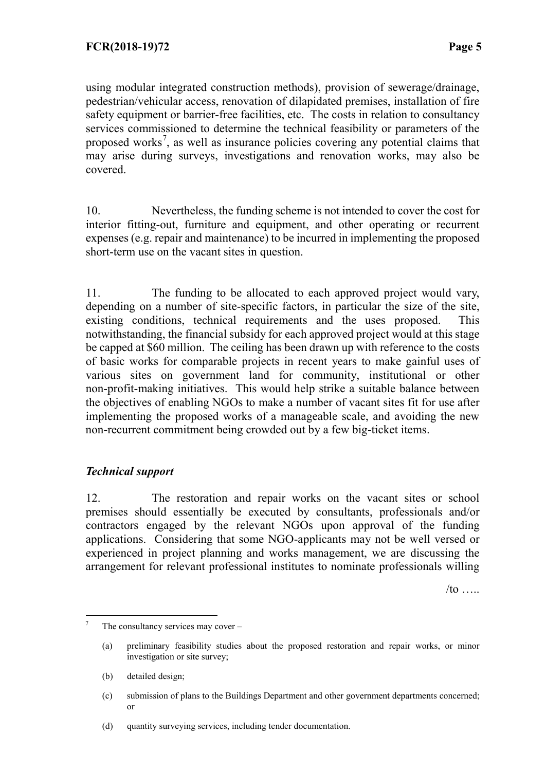using modular integrated construction methods), provision of sewerage/drainage, pedestrian/vehicular access, renovation of dilapidated premises, installation of fire safety equipment or barrier-free facilities, etc. The costs in relation to consultancy services commissioned to determine the technical feasibility or parameters of the proposed works<sup>[7](#page-4-0)</sup>, as well as insurance policies covering any potential claims that may arise during surveys, investigations and renovation works, may also be covered.

10. Nevertheless, the funding scheme is not intended to cover the cost for interior fitting-out, furniture and equipment, and other operating or recurrent expenses (e.g. repair and maintenance) to be incurred in implementing the proposed short-term use on the vacant sites in question.

11. The funding to be allocated to each approved project would vary, depending on a number of site-specific factors, in particular the size of the site, existing conditions, technical requirements and the uses proposed. This notwithstanding, the financial subsidy for each approved project would at this stage be capped at \$60 million. The ceiling has been drawn up with reference to the costs of basic works for comparable projects in recent years to make gainful uses of various sites on government land for community, institutional or other non-profit-making initiatives. This would help strike a suitable balance between the objectives of enabling NGOs to make a number of vacant sites fit for use after implementing the proposed works of a manageable scale, and avoiding the new non-recurrent commitment being crowded out by a few big-ticket items.

#### *Technical support*

12. The restoration and repair works on the vacant sites or school premises should essentially be executed by consultants, professionals and/or contractors engaged by the relevant NGOs upon approval of the funding applications. Considering that some NGO-applicants may not be well versed or experienced in project planning and works management, we are discussing the arrangement for relevant professional institutes to nominate professionals willing

 $/$ to ……

(b) detailed design;

<span id="page-4-0"></span><sup>&</sup>lt;sup>7</sup> The consultancy services may cover –

<sup>(</sup>a) preliminary feasibility studies about the proposed restoration and repair works, or minor investigation or site survey;

<sup>(</sup>c) submission of plans to the Buildings Department and other government departments concerned; or

<sup>(</sup>d) quantity surveying services, including tender documentation.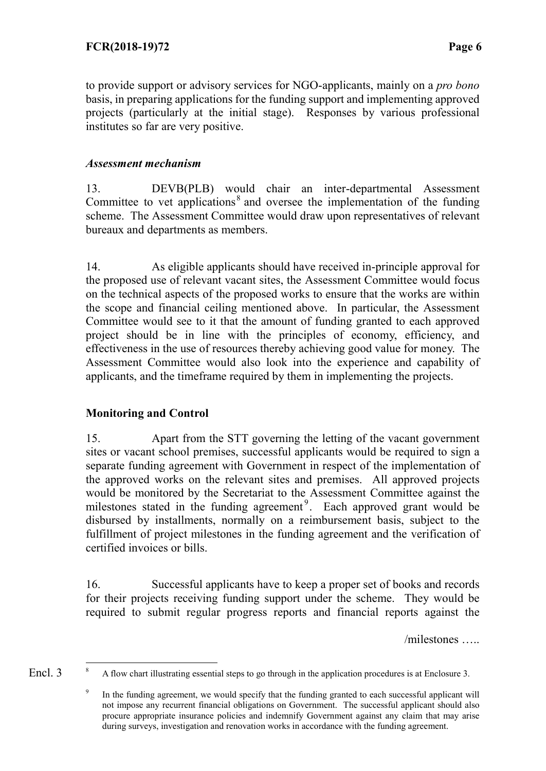to provide support or advisory services for NGO-applicants, mainly on a *pro bono* basis, in preparing applications for the funding support and implementing approved projects (particularly at the initial stage). Responses by various professional institutes so far are very positive.

## *Assessment mechanism*

13. DEVB(PLB) would chair an inter-departmental Assessment Committee to vet applications<sup>[8](#page-5-0)</sup> and oversee the implementation of the funding scheme. The Assessment Committee would draw upon representatives of relevant bureaux and departments as members.

14. As eligible applicants should have received in-principle approval for the proposed use of relevant vacant sites, the Assessment Committee would focus on the technical aspects of the proposed works to ensure that the works are within the scope and financial ceiling mentioned above. In particular, the Assessment Committee would see to it that the amount of funding granted to each approved project should be in line with the principles of economy, efficiency, and effectiveness in the use of resources thereby achieving good value for money. The Assessment Committee would also look into the experience and capability of applicants, and the timeframe required by them in implementing the projects.

## **Monitoring and Control**

15. Apart from the STT governing the letting of the vacant government sites or vacant school premises, successful applicants would be required to sign a separate funding agreement with Government in respect of the implementation of the approved works on the relevant sites and premises. All approved projects would be monitored by the Secretariat to the Assessment Committee against the milestones stated in the funding agreement<sup>[9](#page-5-1)</sup>. Each approved grant would be disbursed by installments, normally on a reimbursement basis, subject to the fulfillment of project milestones in the funding agreement and the verification of certified invoices or bills.

16. Successful applicants have to keep a proper set of books and records for their projects receiving funding support under the scheme. They would be required to submit regular progress reports and financial reports against the

/milestones …..

<span id="page-5-1"></span><span id="page-5-0"></span> <sup>8</sup> A flow chart illustrating essential steps to go through in the application procedures is at Enclosure 3. Encl. 3

In the funding agreement, we would specify that the funding granted to each successful applicant will not impose any recurrent financial obligations on Government. The successful applicant should also procure appropriate insurance policies and indemnify Government against any claim that may arise during surveys, investigation and renovation works in accordance with the funding agreement.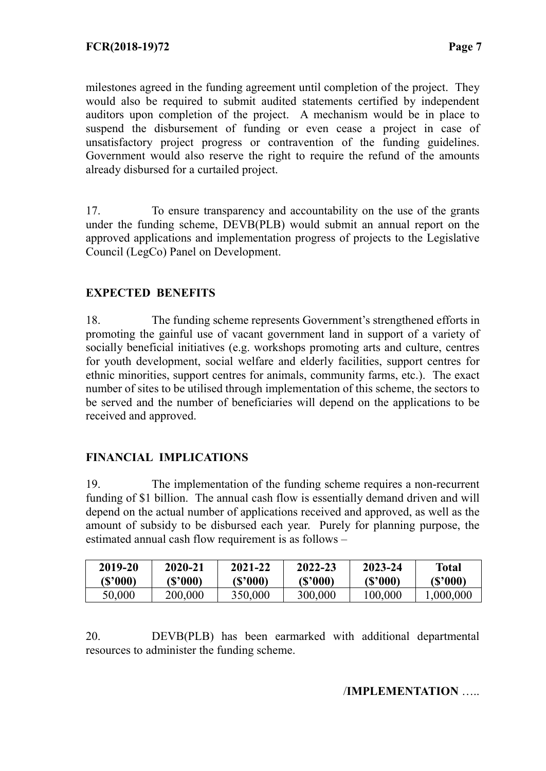milestones agreed in the funding agreement until completion of the project. They would also be required to submit audited statements certified by independent auditors upon completion of the project. A mechanism would be in place to suspend the disbursement of funding or even cease a project in case of unsatisfactory project progress or contravention of the funding guidelines. Government would also reserve the right to require the refund of the amounts already disbursed for a curtailed project.

17. To ensure transparency and accountability on the use of the grants under the funding scheme, DEVB(PLB) would submit an annual report on the approved applications and implementation progress of projects to the Legislative Council (LegCo) Panel on Development.

#### **EXPECTED BENEFITS**

18. The funding scheme represents Government's strengthened efforts in promoting the gainful use of vacant government land in support of a variety of socially beneficial initiatives (e.g. workshops promoting arts and culture, centres for youth development, social welfare and elderly facilities, support centres for ethnic minorities, support centres for animals, community farms, etc.). The exact number of sites to be utilised through implementation of this scheme, the sectors to be served and the number of beneficiaries will depend on the applications to be received and approved.

#### **FINANCIAL IMPLICATIONS**

19. The implementation of the funding scheme requires a non-recurrent funding of \$1 billion. The annual cash flow is essentially demand driven and will depend on the actual number of applications received and approved, as well as the amount of subsidy to be disbursed each year. Purely for planning purpose, the estimated annual cash flow requirement is as follows –

| 2019-20  | 2020-21  | 2021-22  | 2022-23  | 2023-24  | <b>Total</b> |
|----------|----------|----------|----------|----------|--------------|
| (\$'000) | (\$'000) | (\$'000) | (\$'000) | (\$'000) | (\$'000)     |
| 50.000   | 200,000  | 350,000  | 300,000  | 100,000  | .000.000     |

20. DEVB(PLB) has been earmarked with additional departmental resources to administer the funding scheme.

#### /**IMPLEMENTATION** …..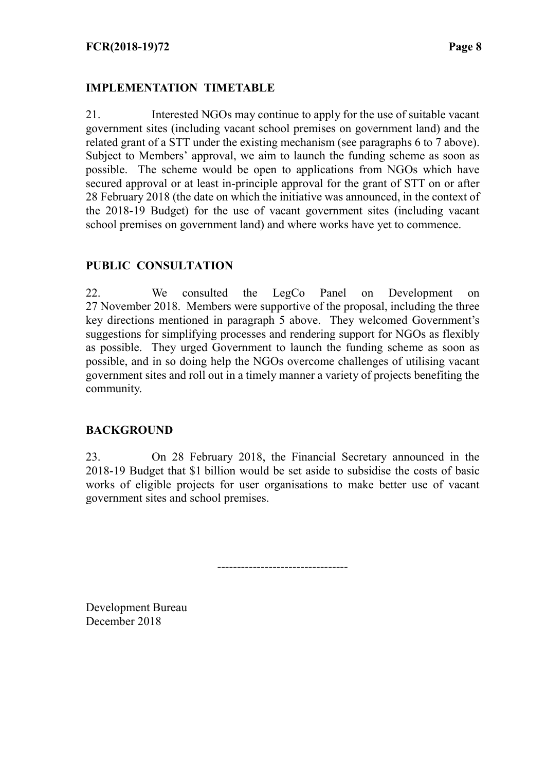## **IMPLEMENTATION TIMETABLE**

21. Interested NGOs may continue to apply for the use of suitable vacant government sites (including vacant school premises on government land) and the related grant of a STT under the existing mechanism (see paragraphs 6 to 7 above). Subject to Members' approval, we aim to launch the funding scheme as soon as possible. The scheme would be open to applications from NGOs which have secured approval or at least in-principle approval for the grant of STT on or after 28 February 2018 (the date on which the initiative was announced, in the context of the 2018-19 Budget) for the use of vacant government sites (including vacant school premises on government land) and where works have yet to commence.

### **PUBLIC CONSULTATION**

22. We consulted the LegCo Panel on Development on 27 November 2018. Members were supportive of the proposal, including the three key directions mentioned in paragraph 5 above. They welcomed Government's suggestions for simplifying processes and rendering support for NGOs as flexibly as possible. They urged Government to launch the funding scheme as soon as possible, and in so doing help the NGOs overcome challenges of utilising vacant government sites and roll out in a timely manner a variety of projects benefiting the community.

#### **BACKGROUND**

23. On 28 February 2018, the Financial Secretary announced in the 2018-19 Budget that \$1 billion would be set aside to subsidise the costs of basic works of eligible projects for user organisations to make better use of vacant government sites and school premises.

---------------------------------

Development Bureau December 2018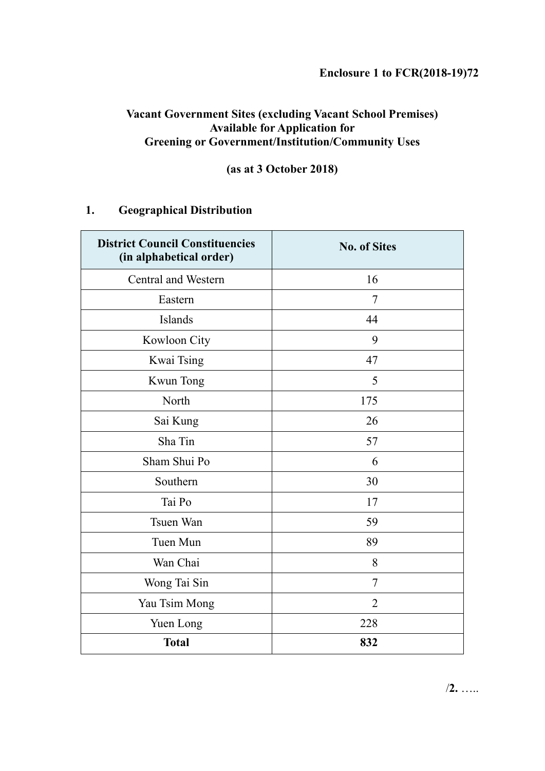## **Vacant Government Sites (excluding Vacant School Premises) Available for Application for Greening or Government/Institution/Community Uses**

## **(as at 3 October 2018)**

## **1. Geographical Distribution**

| <b>District Council Constituencies</b><br>(in alphabetical order) | <b>No. of Sites</b> |
|-------------------------------------------------------------------|---------------------|
| Central and Western                                               | 16                  |
| Eastern                                                           | $\overline{7}$      |
| Islands                                                           | 44                  |
| Kowloon City                                                      | 9                   |
| Kwai Tsing                                                        | 47                  |
| Kwun Tong                                                         | 5                   |
| North                                                             | 175                 |
| Sai Kung                                                          | 26                  |
| Sha Tin                                                           | 57                  |
| Sham Shui Po                                                      | 6                   |
| Southern                                                          | 30                  |
| Tai Po                                                            | 17                  |
| Tsuen Wan                                                         | 59                  |
| Tuen Mun                                                          | 89                  |
| Wan Chai                                                          | 8                   |
| Wong Tai Sin                                                      | $\overline{7}$      |
| Yau Tsim Mong                                                     | $\overline{2}$      |
| Yuen Long                                                         | 228                 |
| <b>Total</b>                                                      | 832                 |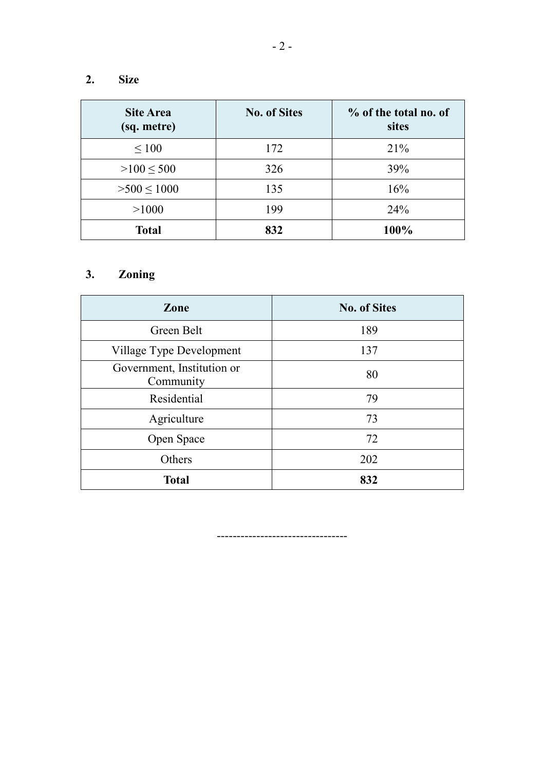## **2. Size**

| <b>Site Area</b><br>(sq. metre) | <b>No. of Sites</b> | % of the total no. of<br>sites |
|---------------------------------|---------------------|--------------------------------|
| $\leq 100$                      | 172                 | 21%                            |
| $>100 \leq 500$                 | 326                 | 39%                            |
| $>500 \le 1000$                 | 135                 | 16%                            |
| >1000                           | 199                 | 24%                            |
| <b>Total</b>                    | 832                 | 100%                           |

# **3. Zoning**

| Zone                                    | <b>No. of Sites</b> |  |
|-----------------------------------------|---------------------|--|
| Green Belt                              | 189                 |  |
| Village Type Development                | 137                 |  |
| Government, Institution or<br>Community | 80                  |  |
| Residential                             | 79                  |  |
| Agriculture                             | 73                  |  |
| Open Space                              | 72                  |  |
| Others                                  | 202                 |  |
| <b>Total</b>                            | 832                 |  |

---------------------------------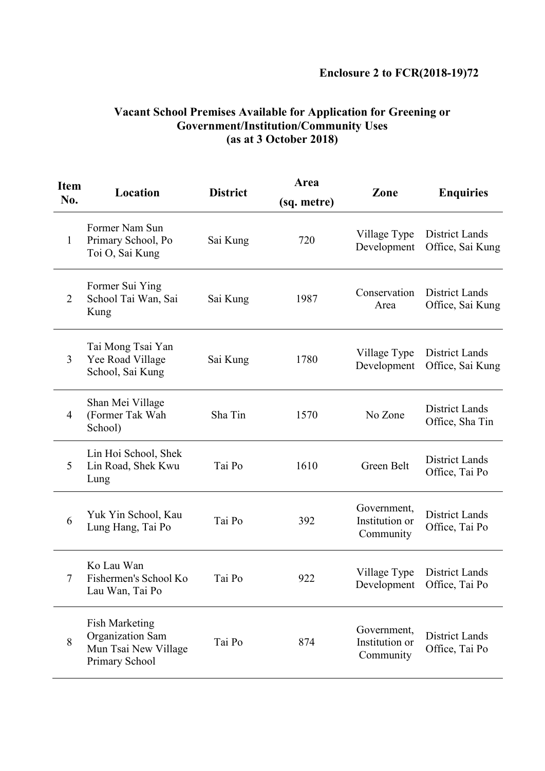| <b>Item</b><br>No. | Location                                                                            | <b>District</b> | Area<br>(sq. metre) | Zone                                       | <b>Enquiries</b>                             |
|--------------------|-------------------------------------------------------------------------------------|-----------------|---------------------|--------------------------------------------|----------------------------------------------|
| 1                  | Former Nam Sun<br>Primary School, Po<br>Toi O, Sai Kung                             | Sai Kung        | 720                 | Village Type<br>Development                | District Lands<br>Office, Sai Kung           |
| $\overline{2}$     | Former Sui Ying<br>School Tai Wan, Sai<br>Kung                                      | Sai Kung        | 1987                | Conservation<br>Area                       | District Lands<br>Office, Sai Kung           |
| 3                  | Tai Mong Tsai Yan<br>Yee Road Village<br>School, Sai Kung                           | Sai Kung        | 1780                | Village Type<br>Development                | District Lands<br>Office, Sai Kung           |
| 4                  | Shan Mei Village<br>(Former Tak Wah<br>School)                                      | Sha Tin         | 1570                | No Zone                                    | District Lands<br>Office, Sha Tin            |
| 5                  | Lin Hoi School, Shek<br>Lin Road, Shek Kwu<br>Lung                                  | Tai Po          | 1610                | Green Belt                                 | District Lands<br>Office, Tai Po             |
| 6                  | Yuk Yin School, Kau<br>Lung Hang, Tai Po                                            | Tai Po          | 392                 | Government,<br>Institution or<br>Community | <b>District Lands</b><br>Office, Tai Po      |
| $\tau$             | Ko Lau Wan<br>Fishermen's School Ko<br>Lau Wan, Tai Po                              | Tai Po          | 922                 | Village Type                               | District Lands<br>Development Office, Tai Po |
| 8                  | <b>Fish Marketing</b><br>Organization Sam<br>Mun Tsai New Village<br>Primary School | Tai Po          | 874                 | Government,<br>Institution or<br>Community | <b>District Lands</b><br>Office, Tai Po      |

#### **Vacant School Premises Available for Application for Greening or Government/Institution/Community Uses (as at 3 October 2018)**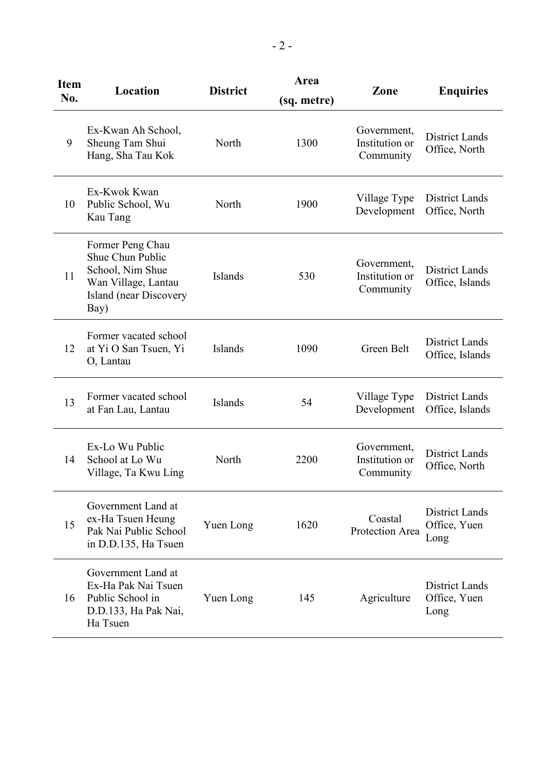| <b>Item</b><br>No. | Location                                                                                                                 | <b>District</b> | Area<br>(sq. metre) | Zone                                       | <b>Enquiries</b>                              |
|--------------------|--------------------------------------------------------------------------------------------------------------------------|-----------------|---------------------|--------------------------------------------|-----------------------------------------------|
| 9                  | Ex-Kwan Ah School,<br>Sheung Tam Shui<br>Hang, Sha Tau Kok                                                               | North           | 1300                | Government,<br>Institution or<br>Community | <b>District Lands</b><br>Office, North        |
| 10                 | Ex-Kwok Kwan<br>Public School, Wu<br>Kau Tang                                                                            | North           | 1900                | Village Type<br>Development                | <b>District Lands</b><br>Office, North        |
| 11                 | Former Peng Chau<br>Shue Chun Public<br>School, Nim Shue<br>Wan Village, Lantau<br><b>Island</b> (near Discovery<br>Bay) | <b>Islands</b>  | 530                 | Government,<br>Institution or<br>Community | District Lands<br>Office, Islands             |
| 12                 | Former vacated school<br>at Yi O San Tsuen, Yi<br>O, Lantau                                                              | Islands         | 1090                | Green Belt                                 | <b>District Lands</b><br>Office, Islands      |
| 13                 | Former vacated school<br>at Fan Lau, Lantau                                                                              | Islands         | 54                  | Village Type<br>Development                | <b>District Lands</b><br>Office, Islands      |
| 14                 | Ex-Lo Wu Public<br>School at Lo Wu<br>Village, Ta Kwu Ling                                                               | North           | 2200                | Government,<br>Institution or<br>Community | <b>District Lands</b><br>Office, North        |
| 15                 | Government Land at<br>ex-Ha Tsuen Heung<br>Pak Nai Public School<br>in D.D.135, Ha Tsuen                                 | Yuen Long       | 1620                | Coastal<br>Protection Area                 | <b>District Lands</b><br>Office, Yuen<br>Long |
| 16                 | Government Land at<br>Ex-Ha Pak Nai Tsuen<br>Public School in<br>D.D.133, Ha Pak Nai,<br>Ha Tsuen                        | Yuen Long       | 145                 | Agriculture                                | <b>District Lands</b><br>Office, Yuen<br>Long |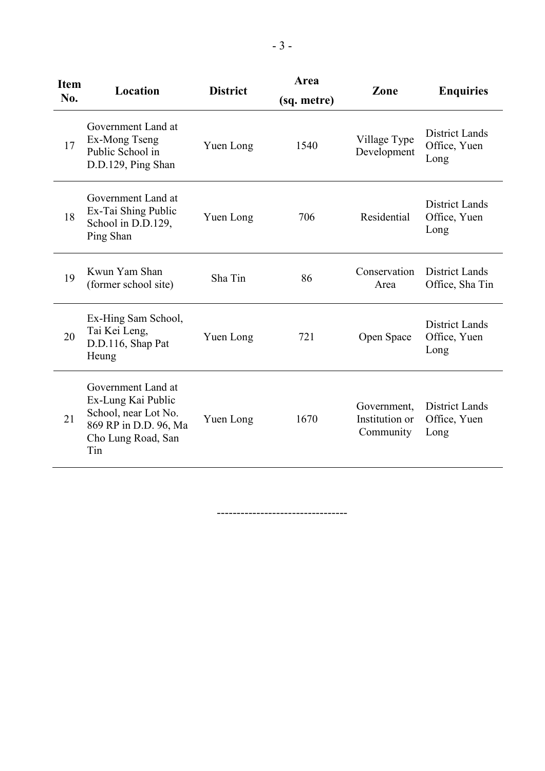| <b>Item</b><br>No. | Location                                                                                                               | <b>District</b> | Area<br>(sq. metre) | Zone                                       | <b>Enquiries</b>                              |
|--------------------|------------------------------------------------------------------------------------------------------------------------|-----------------|---------------------|--------------------------------------------|-----------------------------------------------|
| 17                 | Government Land at<br>Ex-Mong Tseng<br>Public School in<br>D.D.129, Ping Shan                                          | Yuen Long       | 1540                | Village Type<br>Development                | <b>District Lands</b><br>Office, Yuen<br>Long |
| 18                 | Government Land at<br>Ex-Tai Shing Public<br>School in D.D.129,<br>Ping Shan                                           | Yuen Long       | 706                 | Residential                                | <b>District Lands</b><br>Office, Yuen<br>Long |
| 19                 | Kwun Yam Shan<br>(former school site)                                                                                  | Sha Tin         | 86                  | Conservation<br>Area                       | <b>District Lands</b><br>Office, Sha Tin      |
| 20                 | Ex-Hing Sam School,<br>Tai Kei Leng,<br>D.D.116, Shap Pat<br>Heung                                                     | Yuen Long       | 721                 | Open Space                                 | <b>District Lands</b><br>Office, Yuen<br>Long |
| 21                 | Government Land at<br>Ex-Lung Kai Public<br>School, near Lot No.<br>869 RP in D.D. 96, Ma<br>Cho Lung Road, San<br>Tin | Yuen Long       | 1670                | Government,<br>Institution or<br>Community | <b>District Lands</b><br>Office, Yuen<br>Long |

---------------------------------

- 3 -